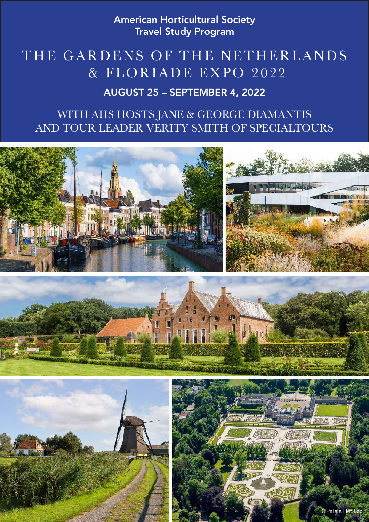American Horticultural Society Travel Study Program

# THE GARDENS OF THE NETHERLANDS & FLORIADE EXPO 2022

# AUGUST 25 – SEPTEMBER 4, 2022

# WITH AHS HOSTS JANE & GEORGE DIAMANTIS AND TOUR LEADER VERITY SMITH OF SPECIALTOURS

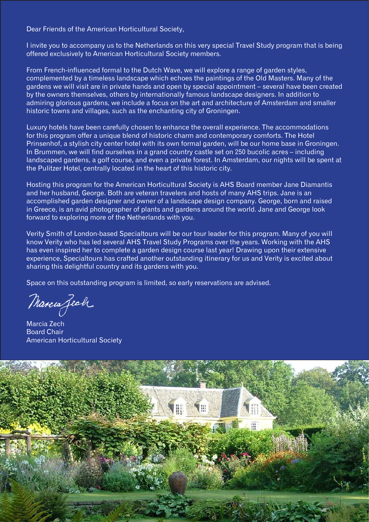Dear Friends of the American Horticultural Society,

I invite you to accompany us to the Netherlands on this very special Travel Study program that is being offered exclusively to American Horticultural Society members.

From French-influenced formal to the Dutch Wave, we will explore a range of garden styles, complemented by a timeless landscape which echoes the paintings of the Old Masters. Many of the gardens we will visit are in private hands and open by special appointment – several have been created by the owners themselves, others by internationally famous landscape designers. In addition to admiring glorious gardens, we include a focus on the art and architecture of Amsterdam and smaller historic towns and villages, such as the enchanting city of Groningen.

Luxury hotels have been carefully chosen to enhance the overall experience. The accommodations for this program offer a unique blend of historic charm and contemporary comforts. The Hotel Prinsenhof, a stylish city center hotel with its own formal garden, will be our home base in Groningen. In Brummen, we will find ourselves in a grand country castle set on 250 bucolic acres – including landscaped gardens, a golf course, and even a private forest. In Amsterdam, our nights will be spent at the Pulitzer Hotel, centrally located in the heart of this historic city.

Hosting this program for the American Horticultural Society is AHS Board member Jane Diamantis and her husband, George. Both are veteran travelers and hosts of many AHS trips. Jane is an accomplished garden designer and owner of a landscape design company. George, born and raised in Greece, is an avid photographer of plants and gardens around the world. Jane and George look forward to exploring more of the Netherlands with you.

Verity Smith of London-based Specialtours will be our tour leader for this program. Many of you will know Verity who has led several AHS Travel Study Programs over the years. Working with the AHS has even inspired her to complete a garden design course last year! Drawing upon their extensive experience, Specialtours has crafted another outstanding itinerary for us and Verity is excited about sharing this delightful country and its gardens with you.

Space on this outstanding program is limited, so early reservations are advised.

Marcia Zech

Marcia Zech Board Chair American Horticultural Society

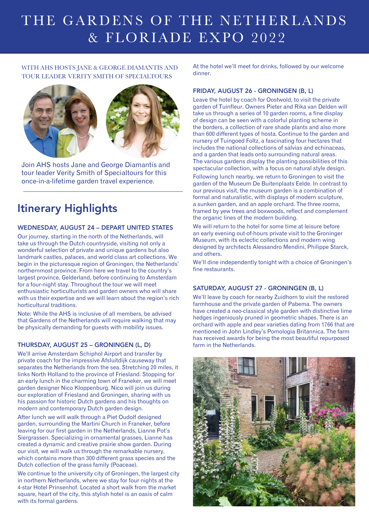# THE GARDENS OF THE NETHERLANDS & FLORIADE EXPO 2022

## WITH AHS HOSTS JANE & GEORGE DIAMANTIS AND TOUR LEADER VERITY SMITH OF SPECIALTOURS



Join AHS hosts Jane and George Diamantis and tour leader Verity Smith of Specialtours for this once-in-a-lifetime garden travel experience.

# Itinerary Highlights

## WEDNESDAY, AUGUST 24 – DEPART UNITED STATES

Our journey, starting in the north of the Netherlands, will take us through the Dutch countryside, visiting not only a wonderful selection of private and unique gardens but also landmark castles, palaces, and world class art collections. We begin in the picturesque region of Groningen, the Netherlands' northernmost province. From here we travel to the country's largest province, Gelderland, before continuing to Amsterdam for a four-night stay. Throughout the tour we will meet enthusiastic horticulturists and garden owners who will share with us their expertise and we will learn about the region's rich horticultural traditions.

Note: While the AHS is inclusive of all members, be advised that Gardens of the Netherlands will require walking that may be physically demanding for guests with mobility issues.

### THURSDAY, AUGUST 25 – GRONINGEN (L, D)

We'll arrive Amsterdam Schiphol Airport and transfer by private coach for the impressive Afsluitdijk causeway that separates the Netherlands from the sea. Stretching 20 miles, it links North Holland to the province of Friesland. Stopping for an early lunch in the charming town of Franeker, we will meet garden designer Nico Kloppenburg. Nico will join us during our exploration of Friesland and Groningen, sharing with us his passion for historic Dutch gardens and his thoughts on modern and contemporary Dutch garden design.

After lunch we will walk through a Piet Oudolf designed garden, surrounding the Martini Church in Franeker, before leaving for our first garden in the Netherlands, Lianne Pot's Siergrassen. Specializing in ornamental grasses, Lianne has created a dynamic and creative prairie show garden. During our visit, we will walk us through the remarkable nursery, which contains more than 300 different grass species and the Dutch collection of the grass family (Poaceae).

We continue to the university city of Groningen, the largest city in northern Netherlands, where we stay for four nights at the 4-star Hotel Prinsenhof. Located a short walk from the market square, heart of the city, this stylish hotel is an oasis of calm with its formal gardens.

At the hotel we'll meet for drinks, followed by our welcome dinner.

#### FRIDAY, AUGUST 26 - GRONINGEN (B, L)

Leave the hotel by coach for Oostwold, to visit the private garden of Tuinfleur. Owners Pieter and Rika van Delden will take us through a series of 10 garden rooms, a fine display of design can be seen with a colorful planting scheme in the borders, a collection of rare shade plants and also more than 600 different types of hosta. Continue to the garden and nursery of Tuingoed Foltz, a fascinating four hectares that includes the national collections of salvias and echinaceas, and a garden that leads onto surrounding natural areas. The various gardens display the planting possibilities of this spectacular collection, with a focus on natural style design.

Following lunch nearby, we return to Groningen to visit the garden of the Museum De Buitenplaats Eelde. In contrast to our previous visit, the museum garden is a combination of formal and naturalistic, with displays of modern sculpture, a sunken garden, and an apple orchard. The three rooms, framed by yew trees and boxwoods, reflect and complement the organic lines of the modern building.

We will return to the hotel for some time at leisure before an early evening out-of-hours private visit to the Groninger Museum, with its eclectic collections and modern wing designed by architects Alessandro Mendini, Philippe Starck, and others.

We'll dine independently tonight with a choice of Groningen's fine restaurants.

#### SATURDAY, AUGUST 27 - GRONINGEN (B, L)

We'll leave by coach for nearby Zuidhorn to visit the restored farmhouse and the private garden of Pabema. The owners have created a neo-classical style garden with distinctive lime hedges ingeniously pruned in geometric shapes. There is an orchard with apple and pear varieties dating from 1766 that are mentioned in John Lindley's Pomologia Britannica. The farm has received awards for being the most beautiful repurposed farm in the Netherlands.

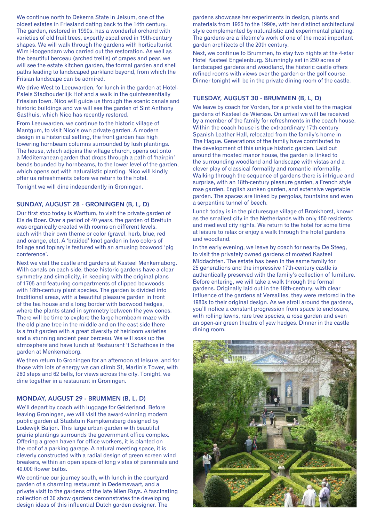We continue north to Dekema State in Jelsum, one of the oldest estates in Friesland dating back to the 14th century. The garden, restored in 1990s, has a wonderful orchard with varieties of old fruit trees, expertly espaliered in 19th-century shapes. We will walk through the gardens with horticulturist Wim Hoogendam who carried out the restoration. As well as the beautiful berceau (arched trellis) of grapes and pear, we will see the estate kitchen garden, the formal garden and shell paths leading to landscaped parkland beyond, from which the Frisian landscape can be admired.

We drive West to Leeuwarden, for lunch in the garden at Hotel-Paleis Stadhouderlijk Hof and a walk in the quintessentially Friesian town. Nico will guide us through the scenic canals and historic buildings and we will see the garden of Sint Anthony Gasthuis, which Nico has recently restored.

From Leeuwarden, we continue to the historic village of Mantgum, to visit Nico's own private garden. A modern design in a historical setting, the front garden has high towering hornbeam columns surrounded by lush plantings. The house, which adjoins the village church, opens out onto a Mediterranean garden that drops through a path of 'hairpin' bends bounded by hornbeams, to the lower level of the garden, which opens out with naturalistic planting. Nico will kindly offer us refreshments before we return to the hotel.

Tonight we will dine independently in Groningen.

#### SUNDAY, AUGUST 28 - GRONINGEN (B, L, D)

Our first stop today is Warffum, to visit the private garden of Els de Boer. Over a period of 40 years, the garden of Breituin was organically created with rooms on different levels, each with their own theme or color (gravel, herb, blue, red and orange, etc). A 'braided' knot garden in two colors of foliage and topiary is featured with an amusing boxwood 'pig conference'.

Next we visit the castle and gardens at Kasteel Menkemaborg. With canals on each side, these historic gardens have a clear symmetry and simplicity, in keeping with the original plans of 1705 and featuring compartments of clipped boxwoods with 18th-century plant species. The garden is divided into traditional areas, with a beautiful pleasure garden in front of the tea house and a long border with boxwood hedges, where the plants stand in symmetry between the yew cones. There will be time to explore the large hornbeam maze with the old plane tree in the middle and on the east side there is a fruit garden with a great diversity of heirloom varieties and a stunning ancient pear berceau. We will soak up the atmosphere and have lunch at Restaurant 't Schathoes in the garden at Menkemaborg.

We then return to Groningen for an afternoon at leisure, and for those with lots of energy we can climb St, Martin's Tower, with 260 steps and 62 bells, for views across the city. Tonight, we dine together in a restaurant in Groningen.

#### MONDAY, AUGUST 29 - BRUMMEN (B, L, D)

We'll depart by coach with luggage for Gelderland. Before leaving Groningen, we will visit the award-winning modern public garden at Stadstuin Kempkensberg designed by Lodewijk Baljon. This large urban garden with beautiful prairie plantings surrounds the government office complex. Offering a green haven for office workers, it is planted on the roof of a parking garage. A natural meeting space, it is cleverly constructed with a radial design of green screen wind breakers, within an open space of long vistas of perennials and 40,000 flower bulbs.

We continue our journey south, with lunch in the courtyard garden of a charming restaurant in Dedemsvaart, and a private visit to the gardens of the late Mien Ruys. A fascinating collection of 30 show gardens demonstrates the developing design ideas of this influential Dutch garden designer. The

gardens showcase her experiments in design, plants and materials from 1925 to the 1990s, with her distinct architectural style complemented by naturalistic and experimental planting. The gardens are a lifetime's work of one of the most important garden architects of the 20th century.

Next, we continue to Brummen, to stay two nights at the 4-star Hotel Kasteel Engelenburg. Stunningly set in 250 acres of landscaped gardens and woodland, the historic castle offers refined rooms with views over the garden or the golf course. Dinner tonight will be in the private dining room of the castle.

#### TUESDAY, AUGUST 30 - BRUMMEN (B, L, D)

We leave by coach for Vorden, for a private visit to the magical gardens of Kasteel de Wiersse. On arrival we will be received by a member of the family for refreshments in the coach house. Within the coach house is the extraordinary 17th-century Spanish Leather Hall, relocated from the family's home in The Hague. Generations of the family have contributed to the development of this unique historic garden. Laid out around the moated manor house, the garden is linked to the surrounding woodland and landscape with vistas and a clever play of classical formality and romantic informality. Walking through the sequence of gardens there is intrigue and surprise, with an 18th-century pleasure garden, a French style rose garden, English sunken garden, and extensive vegetable garden. The spaces are linked by pergolas, fountains and even a serpentine tunnel of beech.

Lunch today is in the picturesque village of Bronkhorst, known as the smallest city in the Netherlands with only 150 residents and medieval city rights. We return to the hotel for some time at leisure to relax or enjoy a walk through the hotel gardens and woodland.

In the early evening, we leave by coach for nearby De Steeg, to visit the privately owned gardens of moated Kasteel Middachten. The estate has been in the same family for 25 generations and the impressive 17th-century castle is authentically preserved with the family's collection of furniture. Before entering, we will take a walk through the formal gardens. Originally laid out in the 18th-century, with clear influence of the gardens at Versailles, they were restored in the 1980s to their original design. As we stroll around the gardens, you'll notice a constant progression from space to enclosure, with rolling lawns, rare tree species, a rose garden and even an open-air green theatre of yew hedges. Dinner in the castle dining room.

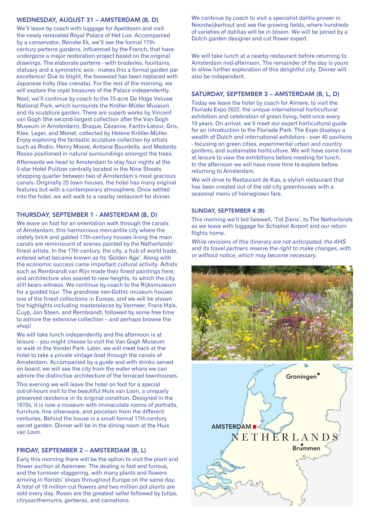#### WEDNESDAY, AUGUST 31 – AMSTERDAM (B, D)

We'll leave by coach with luggage for Apeldoorn and visit the newly renovated Royal Palace of Het Loo. Accompanied by a conservator, Renske Ek, we'll see the formal 17thcentury parterre gardens, influenced by the French, that have undergone a major restoration project based on the original drawings. The elaborate parterre - with broderies, fountains, statuary and a symmetric axis - makes this a formal garden par excellence! Due to blight, the boxwood has been replaced with Japanese holly (Ilex crenata). For the rest of the morning, we will explore the royal treasures of the Palace independently.

Next, we'll continue by coach to the 75-acre De Hoge Veluwe National Park, which surrounds the Kröller-Müller Museum and its sculpture garden. There are superb works by Vincent van Gogh (the second-largest collection after the Van Gogh Museum in Amsterdam), Braque, Cézanne, Fantin-Latour, Gris, Klee, Leger, and Monet, collected by Helene Kröller-Müller. Enjoy exploring the fantastic sculpture collection by artists such as Rodin, Henry Moore, Antoine Bourdelle, and Medardo Rosso positioned in natural surroundings amongst the trees.

Afterwards we head to Amsterdam to stay four nights at the 5-star Hotel Pulitzer centrally located in the Nine Streets shopping quarter between two of Amsterdam's most gracious canals. Originally 25 town houses, the hotel has many original features but with a contemporary atmosphere. Once settled into the hotel, we will walk to a nearby restaurant for dinner.

#### THURSDAY, SEPTEMBER 1 - AMSTERDAM (B, D)

We leave on foot for an orientation walk through the canals of Amsterdam, this harmonious mercantile city where the stately brick and gabled 17th-century houses lining the main canals are reminiscent of scenes painted by the Netherlands' finest artists. In the 17th century, the city, a hub of world trade, entered what became known as its 'Golden Age'. Along with the economic success came important cultural activity. Artists such as Rembrandt van Rijn made their finest paintings here, and architecture also soared to new heights, to which the city still bears witness. We continue by coach to the Rijksmuseum for a guided tour. The grandiose neo-Gothic museum houses one of the finest collections in Europe, and we will be shown the highlights including masterpieces by Vermeer, Frans Hals, Cuyp, Jan Steen, and Rembrandt, followed by some free time to admire the extensive collection – and perhaps browse the shop!

We will take lunch independently and the afternoon is at leisure – you might choose to visit the Van Gogh Museum or walk in the Vondel Park. Later, we will meet back at the hotel to take a private vintage boat through the canals of Amsterdam. Accompanied by a guide and with drinks served on board, we will see the city from the water where we can admire the distinctive architecture of the terraced townhouses.

This evening we will leave the hotel on foot for a special out-of-hours visit to the beautiful Huis van Loon, a uniquely preserved residence in its original condition. Designed in the 1670s, it is now a museum with immaculate rooms of portraits, furniture, fine silverware, and porcelain from the different centuries. Behind the house is a small formal 17th-century secret garden. Dinner will be in the dining room at the Huis van Loon.

#### FRIDAY, SEPTEMBER 2 – AMSTERDAM (B, L)

Early this morning there will be the option to visit the plant and flower auction at Aalsmeer. The dealing is fast and furious, and the turnover staggering, with many plants and flowers arriving in florists' shops throughout Europe on the same day. A total of 19 million cut flowers and two million pot plants are sold every day. Roses are the greatest seller followed by tulips, chrysanthemums, gerberas, and carnations.

We continue by coach to visit a specialist dahlia grower in Noordwijkerhout and see the growing fields, where hundreds of varieties of dahlias will be in bloom. We will be joined by a Dutch garden designer and cut flower expert.

We will take lunch at a nearby restaurant before returning to Amsterdam mid-afternoon. The remainder of the day is yours to allow further exploration of this delightful city. Dinner will also be independent.

#### SATURDAY, SEPTEMBER 3 – AMSTERDAM (B, L, D)

Today we leave the hotel by coach for Almere, to visit the Floriade Expo 2022, the unique international horticultural exhibition and celebration of green living, held once every 10 years. On arrival, we'll meet our expert horticultural guide for an introduction to the Floriade Park. The Expo displays a wealth of Dutch and international exhibitors - over 40 pavilions - focusing on green cities, experimental urban and country gardens, and sustainable horticulture. We will have some time at leisure to view the exhibitions before meeting for lunch. In the afternoon we will have more time to explore before returning to Amsterdam.

We will drive to Restaurant de Kas, a stylish restaurant that has been created out of the old city greenhouses with a seasonal menu of homegrown fare.

#### SUNDAY, SEPTEMBER 4 (B)

This morning we'll bid farewell, 'Tot Ziens', to The Netherlands as we leave with luggage for Schiphol Airport and our return flights home.

While revisions of this itinerary are not anticipated, the AHS and its travel partners reserve the right to make changes, with or without notice, which may become necessary.